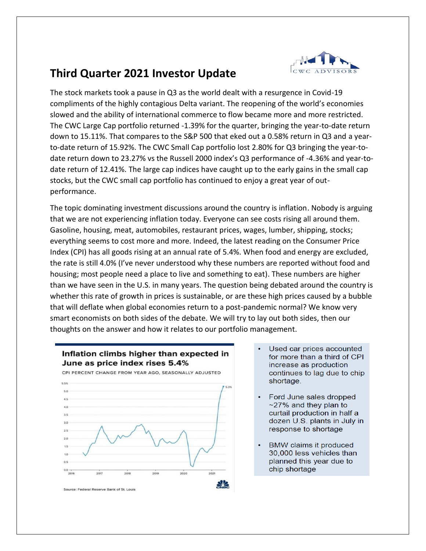

## **Third Quarter 2021 Investor Update**

The stock markets took a pause in Q3 as the world dealt with a resurgence in Covid-19 compliments of the highly contagious Delta variant. The reopening of the world's economies slowed and the ability of international commerce to flow became more and more restricted. The CWC Large Cap portfolio returned -1.39% for the quarter, bringing the year-to-date return down to 15.11%. That compares to the S&P 500 that eked out a 0.58% return in Q3 and a yearto-date return of 15.92%. The CWC Small Cap portfolio lost 2.80% for Q3 bringing the year-todate return down to 23.27% vs the Russell 2000 index's Q3 performance of -4.36% and year-todate return of 12.41%. The large cap indices have caught up to the early gains in the small cap stocks, but the CWC small cap portfolio has continued to enjoy a great year of outperformance.

The topic dominating investment discussions around the country is inflation. Nobody is arguing that we are not experiencing inflation today. Everyone can see costs rising all around them. Gasoline, housing, meat, automobiles, restaurant prices, wages, lumber, shipping, stocks; everything seems to cost more and more. Indeed, the latest reading on the Consumer Price Index (CPI) has all goods rising at an annual rate of 5.4%. When food and energy are excluded, the rate is still 4.0% (I've never understood why these numbers are reported without food and housing; most people need a place to live and something to eat). These numbers are higher than we have seen in the U.S. in many years. The question being debated around the country is whether this rate of growth in prices is sustainable, or are these high prices caused by a bubble that will deflate when global economies return to a post-pandemic normal? We know very smart economists on both sides of the debate. We will try to lay out both sides, then our thoughts on the answer and how it relates to our portfolio management.



- Inflation climbs higher than expected in June as price index rises 5.4%
- Used car prices accounted for more than a third of CPI increase as production continues to lag due to chip shortage.
- Ford June sales dropped  $\sim$ 27% and they plan to curtail production in half a dozen U.S. plants in July in response to shortage
- BMW claims it produced  $\bullet$ 30,000 less vehicles than planned this year due to chip shortage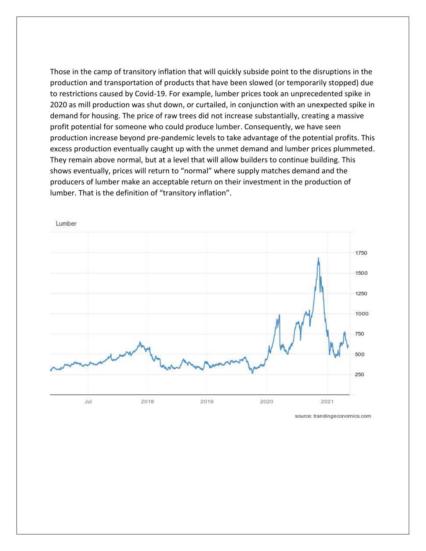Those in the camp of transitory inflation that will quickly subside point to the disruptions in the production and transportation of products that have been slowed (or temporarily stopped) due to restrictions caused by Covid-19. For example, lumber prices took an unprecedented spike in 2020 as mill production was shut down, or curtailed, in conjunction with an unexpected spike in demand for housing. The price of raw trees did not increase substantially, creating a massive profit potential for someone who could produce lumber. Consequently, we have seen production increase beyond pre-pandemic levels to take advantage of the potential profits. This excess production eventually caught up with the unmet demand and lumber prices plummeted. They remain above normal, but at a level that will allow builders to continue building. This shows eventually, prices will return to "normal" where supply matches demand and the producers of lumber make an acceptable return on their investment in the production of lumber. That is the definition of "transitory inflation".



source: trandingeconomics.com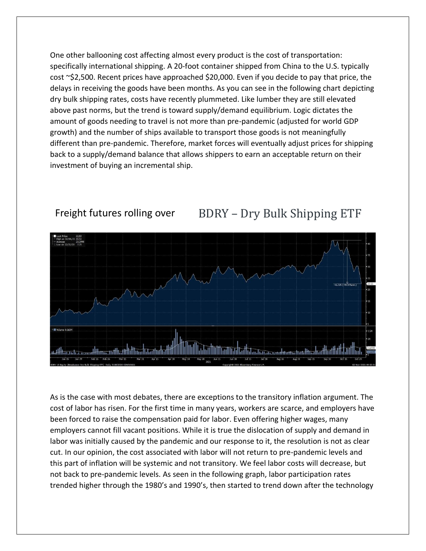One other ballooning cost affecting almost every product is the cost of transportation: specifically international shipping. A 20-foot container shipped from China to the U.S. typically cost ~\$2,500. Recent prices have approached \$20,000. Even if you decide to pay that price, the delays in receiving the goods have been months. As you can see in the following chart depicting dry bulk shipping rates, costs have recently plummeted. Like lumber they are still elevated above past norms, but the trend is toward supply/demand equilibrium. Logic dictates the amount of goods needing to travel is not more than pre-pandemic (adjusted for world GDP growth) and the number of ships available to transport those goods is not meaningfully different than pre-pandemic. Therefore, market forces will eventually adjust prices for shipping back to a supply/demand balance that allows shippers to earn an acceptable return on their investment of buying an incremental ship.



## Freight futures rolling over BDRY - Dry Bulk Shipping ETF

As is the case with most debates, there are exceptions to the transitory inflation argument. The cost of labor has risen. For the first time in many years, workers are scarce, and employers have been forced to raise the compensation paid for labor. Even offering higher wages, many employers cannot fill vacant positions. While it is true the dislocation of supply and demand in labor was initially caused by the pandemic and our response to it, the resolution is not as clear cut. In our opinion, the cost associated with labor will not return to pre-pandemic levels and this part of inflation will be systemic and not transitory. We feel labor costs will decrease, but not back to pre-pandemic levels. As seen in the following graph, labor participation rates trended higher through the 1980's and 1990's, then started to trend down after the technology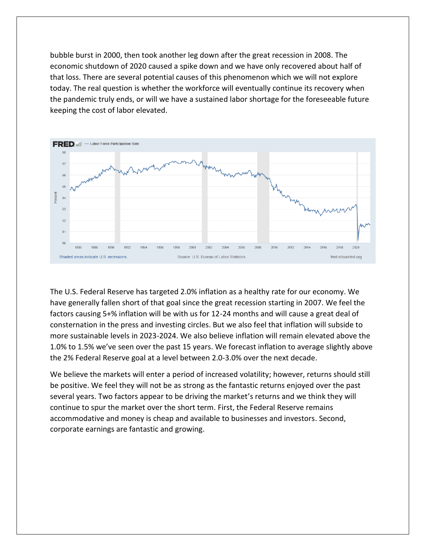bubble burst in 2000, then took another leg down after the great recession in 2008. The economic shutdown of 2020 caused a spike down and we have only recovered about half of that loss. There are several potential causes of this phenomenon which we will not explore today. The real question is whether the workforce will eventually continue its recovery when the pandemic truly ends, or will we have a sustained labor shortage for the foreseeable future keeping the cost of labor elevated.



The U.S. Federal Reserve has targeted 2.0% inflation as a healthy rate for our economy. We have generally fallen short of that goal since the great recession starting in 2007. We feel the factors causing 5+% inflation will be with us for 12-24 months and will cause a great deal of consternation in the press and investing circles. But we also feel that inflation will subside to more sustainable levels in 2023-2024. We also believe inflation will remain elevated above the 1.0% to 1.5% we've seen over the past 15 years. We forecast inflation to average slightly above the 2% Federal Reserve goal at a level between 2.0-3.0% over the next decade.

We believe the markets will enter a period of increased volatility; however, returns should still be positive. We feel they will not be as strong as the fantastic returns enjoyed over the past several years. Two factors appear to be driving the market's returns and we think they will continue to spur the market over the short term. First, the Federal Reserve remains accommodative and money is cheap and available to businesses and investors. Second, corporate earnings are fantastic and growing.